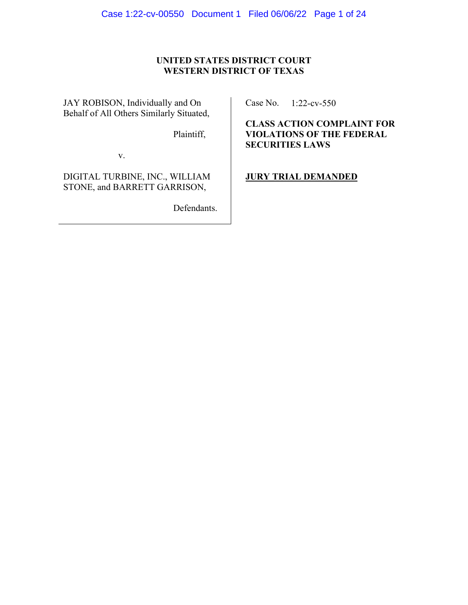## **UNITED STATES DISTRICT COURT WESTERN DISTRICT OF TEXAS**

JAY ROBISON, Individually and On Behalf of All Others Similarly Situated,

Plaintiff,

v.

DIGITAL TURBINE, INC., WILLIAM STONE, and BARRETT GARRISON,

Defendants.

Case No. 1:22-cv-550

**CLASS ACTION COMPLAINT FOR VIOLATIONS OF THE FEDERAL SECURITIES LAWS**

**JURY TRIAL DEMANDED**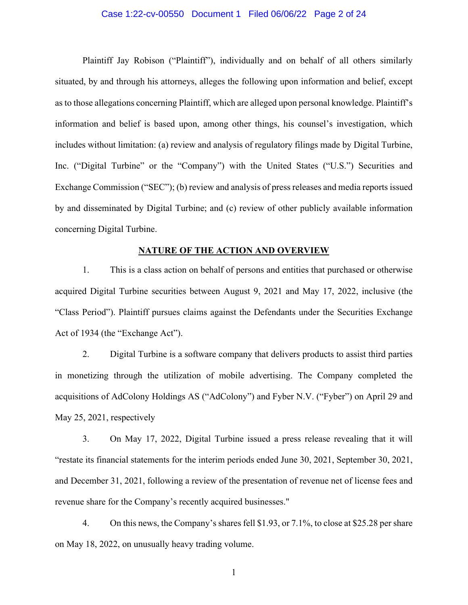#### Case 1:22-cv-00550 Document 1 Filed 06/06/22 Page 2 of 24

Plaintiff Jay Robison ("Plaintiff"), individually and on behalf of all others similarly situated, by and through his attorneys, alleges the following upon information and belief, except as to those allegations concerning Plaintiff, which are alleged upon personal knowledge. Plaintiff's information and belief is based upon, among other things, his counsel's investigation, which includes without limitation: (a) review and analysis of regulatory filings made by Digital Turbine, Inc. ("Digital Turbine" or the "Company") with the United States ("U.S.") Securities and Exchange Commission ("SEC"); (b) review and analysis of press releases and media reports issued by and disseminated by Digital Turbine; and (c) review of other publicly available information concerning Digital Turbine.

#### **NATURE OF THE ACTION AND OVERVIEW**

1. This is a class action on behalf of persons and entities that purchased or otherwise acquired Digital Turbine securities between August 9, 2021 and May 17, 2022, inclusive (the "Class Period"). Plaintiff pursues claims against the Defendants under the Securities Exchange Act of 1934 (the "Exchange Act").

2. Digital Turbine is a software company that delivers products to assist third parties in monetizing through the utilization of mobile advertising. The Company completed the acquisitions of AdColony Holdings AS ("AdColony") and Fyber N.V. ("Fyber") on April 29 and May 25, 2021, respectively

3. On May 17, 2022, Digital Turbine issued a press release revealing that it will "restate its financial statements for the interim periods ended June 30, 2021, September 30, 2021, and December 31, 2021, following a review of the presentation of revenue net of license fees and revenue share for the Company's recently acquired businesses."

4. On this news, the Company's shares fell \$1.93, or 7.1%, to close at \$25.28 per share on May 18, 2022, on unusually heavy trading volume.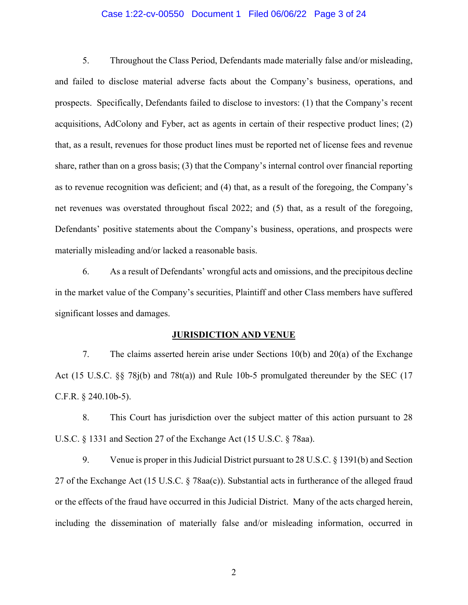#### Case 1:22-cv-00550 Document 1 Filed 06/06/22 Page 3 of 24

5. Throughout the Class Period, Defendants made materially false and/or misleading, and failed to disclose material adverse facts about the Company's business, operations, and prospects. Specifically, Defendants failed to disclose to investors: (1) that the Company's recent acquisitions, AdColony and Fyber, act as agents in certain of their respective product lines; (2) that, as a result, revenues for those product lines must be reported net of license fees and revenue share, rather than on a gross basis; (3) that the Company's internal control over financial reporting as to revenue recognition was deficient; and (4) that, as a result of the foregoing, the Company's net revenues was overstated throughout fiscal 2022; and (5) that, as a result of the foregoing, Defendants' positive statements about the Company's business, operations, and prospects were materially misleading and/or lacked a reasonable basis.

6. As a result of Defendants' wrongful acts and omissions, and the precipitous decline in the market value of the Company's securities, Plaintiff and other Class members have suffered significant losses and damages.

#### **JURISDICTION AND VENUE**

7. The claims asserted herein arise under Sections 10(b) and 20(a) of the Exchange Act (15 U.S.C. §§ 78j(b) and 78t(a)) and Rule 10b-5 promulgated thereunder by the SEC (17 C.F.R. § 240.10b-5).

8. This Court has jurisdiction over the subject matter of this action pursuant to 28 U.S.C. § 1331 and Section 27 of the Exchange Act (15 U.S.C. § 78aa).

9. Venue is proper in this Judicial District pursuant to 28 U.S.C. § 1391(b) and Section 27 of the Exchange Act (15 U.S.C. § 78aa(c)). Substantial acts in furtherance of the alleged fraud or the effects of the fraud have occurred in this Judicial District. Many of the acts charged herein, including the dissemination of materially false and/or misleading information, occurred in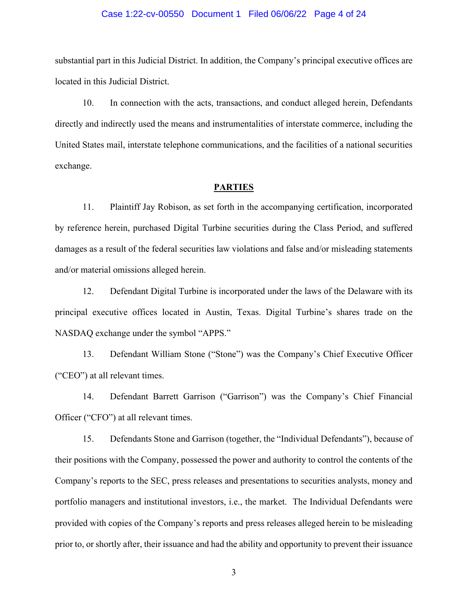#### Case 1:22-cv-00550 Document 1 Filed 06/06/22 Page 4 of 24

substantial part in this Judicial District. In addition, the Company's principal executive offices are located in this Judicial District.

10. In connection with the acts, transactions, and conduct alleged herein, Defendants directly and indirectly used the means and instrumentalities of interstate commerce, including the United States mail, interstate telephone communications, and the facilities of a national securities exchange.

#### **PARTIES**

11. Plaintiff Jay Robison, as set forth in the accompanying certification, incorporated by reference herein, purchased Digital Turbine securities during the Class Period, and suffered damages as a result of the federal securities law violations and false and/or misleading statements and/or material omissions alleged herein.

12. Defendant Digital Turbine is incorporated under the laws of the Delaware with its principal executive offices located in Austin, Texas. Digital Turbine's shares trade on the NASDAQ exchange under the symbol "APPS."

13. Defendant William Stone ("Stone") was the Company's Chief Executive Officer ("CEO") at all relevant times.

14. Defendant Barrett Garrison ("Garrison") was the Company's Chief Financial Officer ("CFO") at all relevant times.

15. Defendants Stone and Garrison (together, the "Individual Defendants"), because of their positions with the Company, possessed the power and authority to control the contents of the Company's reports to the SEC, press releases and presentations to securities analysts, money and portfolio managers and institutional investors, i.e., the market. The Individual Defendants were provided with copies of the Company's reports and press releases alleged herein to be misleading prior to, or shortly after, their issuance and had the ability and opportunity to prevent their issuance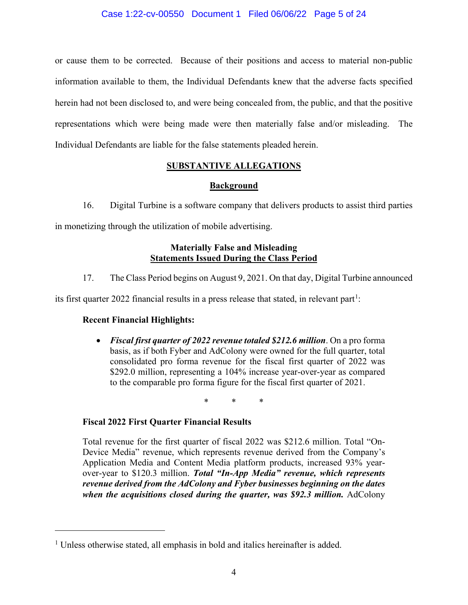## Case 1:22-cv-00550 Document 1 Filed 06/06/22 Page 5 of 24

or cause them to be corrected. Because of their positions and access to material non-public information available to them, the Individual Defendants knew that the adverse facts specified herein had not been disclosed to, and were being concealed from, the public, and that the positive representations which were being made were then materially false and/or misleading. The Individual Defendants are liable for the false statements pleaded herein.

## **SUBSTANTIVE ALLEGATIONS**

### **Background**

16. Digital Turbine is a software company that delivers products to assist third parties

in monetizing through the utilization of mobile advertising.

## **Materially False and Misleading Statements Issued During the Class Period**

17. The Class Period begins on August 9, 2021. On that day, Digital Turbine announced

its first quarter 2022 financial results in a press release that stated, in relevant part<sup>[1](#page-4-0)</sup>:

## **Recent Financial Highlights:**

• *Fiscal first quarter of 2022 revenue totaled \$212.6 million*. On a pro forma basis, as if both Fyber and AdColony were owned for the full quarter, total consolidated pro forma revenue for the fiscal first quarter of 2022 was \$292.0 million, representing a 104% increase year-over-year as compared to the comparable pro forma figure for the fiscal first quarter of 2021.

\* \* \*

## **Fiscal 2022 First Quarter Financial Results**

Total revenue for the first quarter of fiscal 2022 was \$212.6 million. Total "On-Device Media" revenue, which represents revenue derived from the Company's Application Media and Content Media platform products, increased 93% yearover-year to \$120.3 million. *Total "In-App Media" revenue, which represents revenue derived from the AdColony and Fyber businesses beginning on the dates when the acquisitions closed during the quarter, was \$92.3 million.* AdColony

<span id="page-4-0"></span><sup>&</sup>lt;sup>1</sup> Unless otherwise stated, all emphasis in bold and italics hereinafter is added.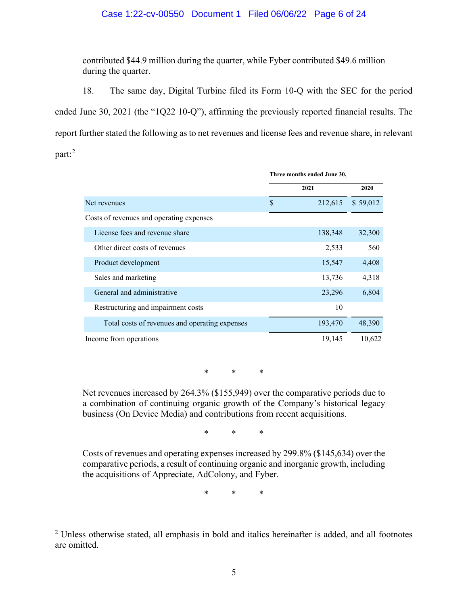### Case 1:22-cv-00550 Document 1 Filed 06/06/22 Page 6 of 24

contributed \$44.9 million during the quarter, while Fyber contributed \$49.6 million during the quarter.

18. The same day, Digital Turbine filed its Form 10-Q with the SEC for the period ended June 30, 2021 (the "1Q22 10-Q"), affirming the previously reported financial results. The report further stated the following as to net revenues and license fees and revenue share, in relevant part: [2](#page-5-0)

|                                                | Three months ended June 30, |          |  |
|------------------------------------------------|-----------------------------|----------|--|
|                                                | 2021                        | 2020     |  |
| Net revenues                                   | $\mathcal{S}$<br>212,615    | \$59,012 |  |
| Costs of revenues and operating expenses       |                             |          |  |
| License fees and revenue share                 | 138,348                     | 32,300   |  |
| Other direct costs of revenues                 | 2,533                       | 560      |  |
| Product development                            | 15,547                      | 4,408    |  |
| Sales and marketing                            | 13,736                      | 4,318    |  |
| General and administrative                     | 23,296                      | 6,804    |  |
| Restructuring and impairment costs             | 10                          |          |  |
| Total costs of revenues and operating expenses | 193,470                     | 48,390   |  |
| Income from operations                         | 19,145                      | 10,622   |  |

\* \* \*

Net revenues increased by 264.3% (\$155,949) over the comparative periods due to a combination of continuing organic growth of the Company's historical legacy business (On Device Media) and contributions from recent acquisitions.

\* \* \*

Costs of revenues and operating expenses increased by 299.8% (\$145,634) over the comparative periods, a result of continuing organic and inorganic growth, including the acquisitions of Appreciate, AdColony, and Fyber.

\* \* \*

<span id="page-5-0"></span><sup>&</sup>lt;sup>2</sup> Unless otherwise stated, all emphasis in bold and italics hereinafter is added, and all footnotes are omitted.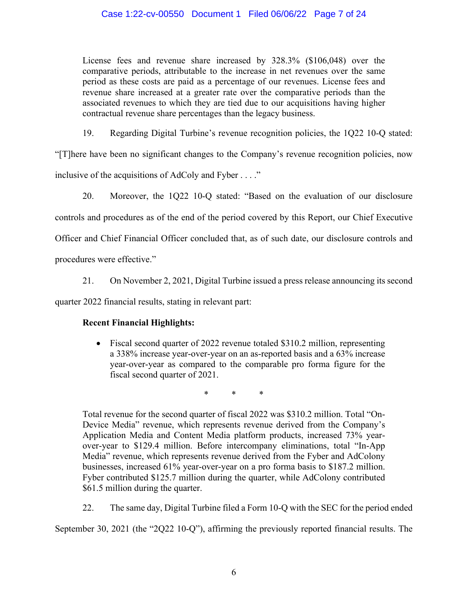## Case 1:22-cv-00550 Document 1 Filed 06/06/22 Page 7 of 24

License fees and revenue share increased by 328.3% (\$106,048) over the comparative periods, attributable to the increase in net revenues over the same period as these costs are paid as a percentage of our revenues. License fees and revenue share increased at a greater rate over the comparative periods than the associated revenues to which they are tied due to our acquisitions having higher contractual revenue share percentages than the legacy business.

19. Regarding Digital Turbine's revenue recognition policies, the 1Q22 10-Q stated:

"[T]here have been no significant changes to the Company's revenue recognition policies, now

inclusive of the acquisitions of AdColy and Fyber . . . ."

20. Moreover, the 1Q22 10-Q stated: "Based on the evaluation of our disclosure

controls and procedures as of the end of the period covered by this Report, our Chief Executive

Officer and Chief Financial Officer concluded that, as of such date, our disclosure controls and

procedures were effective."

21. On November 2, 2021, Digital Turbine issued a press release announcing its second

quarter 2022 financial results, stating in relevant part:

## **Recent Financial Highlights:**

• Fiscal second quarter of 2022 revenue totaled \$310.2 million, representing a 338% increase year-over-year on an as-reported basis and a 63% increase year-over-year as compared to the comparable pro forma figure for the fiscal second quarter of 2021.

\* \* \*

Total revenue for the second quarter of fiscal 2022 was \$310.2 million. Total "On-Device Media" revenue, which represents revenue derived from the Company's Application Media and Content Media platform products, increased 73% yearover-year to \$129.4 million. Before intercompany eliminations, total "In-App Media" revenue, which represents revenue derived from the Fyber and AdColony businesses, increased 61% year-over-year on a pro forma basis to \$187.2 million. Fyber contributed \$125.7 million during the quarter, while AdColony contributed \$61.5 million during the quarter.

22. The same day, Digital Turbine filed a Form 10-Q with the SEC for the period ended

September 30, 2021 (the "2Q22 10-Q"), affirming the previously reported financial results. The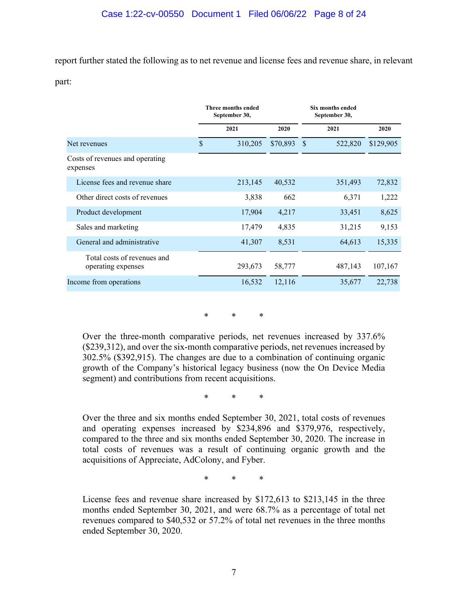report further stated the following as to net revenue and license fees and revenue share, in relevant part:

|                                                   | <b>Three months ended</b><br>September 30, |          |               | <b>Six months ended</b><br>September 30, |           |
|---------------------------------------------------|--------------------------------------------|----------|---------------|------------------------------------------|-----------|
|                                                   | 2021                                       | 2020     |               | 2021                                     | 2020      |
| Net revenues                                      | \$<br>310,205                              | \$70,893 | <sup>\$</sup> | 522,820                                  | \$129,905 |
| Costs of revenues and operating<br>expenses       |                                            |          |               |                                          |           |
| License fees and revenue share                    | 213,145                                    | 40,532   |               | 351,493                                  | 72,832    |
| Other direct costs of revenues                    | 3,838                                      | 662      |               | 6,371                                    | 1,222     |
| Product development                               | 17,904                                     | 4,217    |               | 33,451                                   | 8,625     |
| Sales and marketing                               | 17,479                                     | 4,835    |               | 31,215                                   | 9,153     |
| General and administrative                        | 41,307                                     | 8,531    |               | 64,613                                   | 15,335    |
| Total costs of revenues and<br>operating expenses | 293,673                                    | 58,777   |               | 487,143                                  | 107,167   |
| Income from operations                            | 16,532                                     | 12,116   |               | 35,677                                   | 22,738    |

\* \* \*

Over the three-month comparative periods, net revenues increased by 337.6% (\$239,312), and over the six-month comparative periods, net revenues increased by 302.5% (\$392,915). The changes are due to a combination of continuing organic growth of the Company's historical legacy business (now the On Device Media segment) and contributions from recent acquisitions.

\* \* \*

Over the three and six months ended September 30, 2021, total costs of revenues and operating expenses increased by \$234,896 and \$379,976, respectively, compared to the three and six months ended September 30, 2020. The increase in total costs of revenues was a result of continuing organic growth and the acquisitions of Appreciate, AdColony, and Fyber.

\* \* \*

License fees and revenue share increased by \$172,613 to \$213,145 in the three months ended September 30, 2021, and were 68.7% as a percentage of total net revenues compared to \$40,532 or 57.2% of total net revenues in the three months ended September 30, 2020.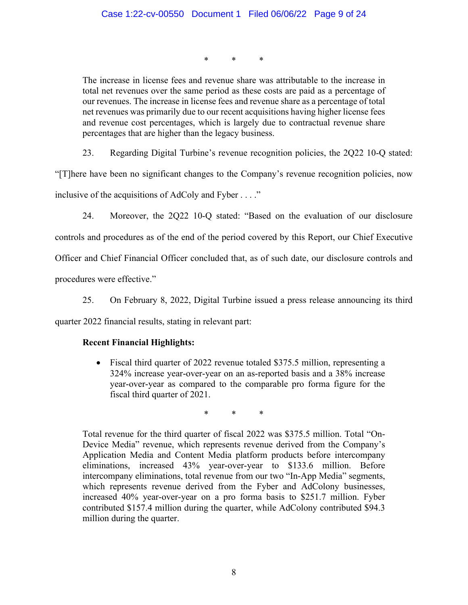\* \* \*

The increase in license fees and revenue share was attributable to the increase in total net revenues over the same period as these costs are paid as a percentage of our revenues. The increase in license fees and revenue share as a percentage of total net revenues was primarily due to our recent acquisitions having higher license fees and revenue cost percentages, which is largely due to contractual revenue share percentages that are higher than the legacy business.

23. Regarding Digital Turbine's revenue recognition policies, the 2Q22 10-Q stated:

"[T]here have been no significant changes to the Company's revenue recognition policies, now

inclusive of the acquisitions of AdColy and Fyber . . . ."

24. Moreover, the 2Q22 10-Q stated: "Based on the evaluation of our disclosure controls and procedures as of the end of the period covered by this Report, our Chief Executive Officer and Chief Financial Officer concluded that, as of such date, our disclosure controls and procedures were effective."

25. On February 8, 2022, Digital Turbine issued a press release announcing its third quarter 2022 financial results, stating in relevant part:

# **Recent Financial Highlights:**

• Fiscal third quarter of 2022 revenue totaled \$375.5 million, representing a 324% increase year-over-year on an as-reported basis and a 38% increase year-over-year as compared to the comparable pro forma figure for the fiscal third quarter of 2021.

\* \* \*

Total revenue for the third quarter of fiscal 2022 was \$375.5 million. Total "On-Device Media" revenue, which represents revenue derived from the Company's Application Media and Content Media platform products before intercompany eliminations, increased 43% year-over-year to \$133.6 million. Before intercompany eliminations, total revenue from our two "In-App Media" segments, which represents revenue derived from the Fyber and AdColony businesses, increased 40% year-over-year on a pro forma basis to \$251.7 million. Fyber contributed \$157.4 million during the quarter, while AdColony contributed \$94.3 million during the quarter.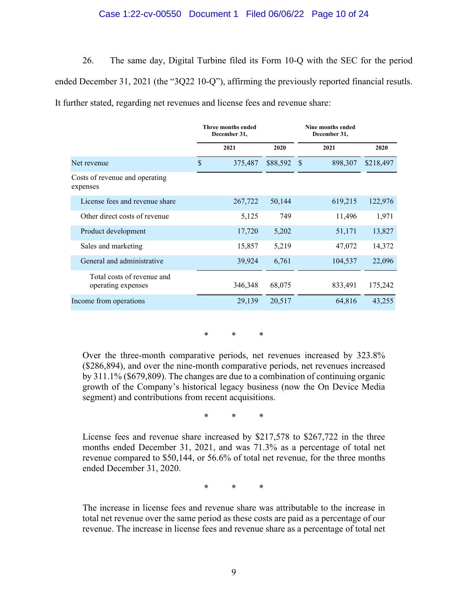### Case 1:22-cv-00550 Document 1 Filed 06/06/22 Page 10 of 24

26. The same day, Digital Turbine filed its Form 10-Q with the SEC for the period ended December 31, 2021 (the "3Q22 10-Q"), affirming the previously reported financial resutls. It further stated, regarding net revenues and license fees and revenue share:

|                                                  | Three months ended<br>December 31, |          | Nine months ended<br>December 31, |           |
|--------------------------------------------------|------------------------------------|----------|-----------------------------------|-----------|
|                                                  | 2021                               | 2020     | 2021                              | 2020      |
| Net revenue                                      | \$<br>375,487                      | \$88,592 | <sup>\$</sup><br>898,307          | \$218,497 |
| Costs of revenue and operating<br>expenses       |                                    |          |                                   |           |
| License fees and revenue share                   | 267,722                            | 50,144   | 619,215                           | 122,976   |
| Other direct costs of revenue                    | 5,125                              | 749      | 11,496                            | 1,971     |
| Product development                              | 17,720                             | 5,202    | 51,171                            | 13,827    |
| Sales and marketing                              | 15,857                             | 5,219    | 47,072                            | 14,372    |
| General and administrative                       | 39,924                             | 6,761    | 104,537                           | 22,096    |
| Total costs of revenue and<br>operating expenses | 346,348                            | 68,075   | 833,491                           | 175,242   |
| Income from operations                           | 29,139                             | 20,517   | 64,816                            | 43,255    |

\* \* \*

Over the three-month comparative periods, net revenues increased by 323.8% (\$286,894), and over the nine-month comparative periods, net revenues increased by 311.1% (\$679,809). The changes are due to a combination of continuing organic growth of the Company's historical legacy business (now the On Device Media segment) and contributions from recent acquisitions.

\* \* \*

License fees and revenue share increased by \$217,578 to \$267,722 in the three months ended December 31, 2021, and was 71.3% as a percentage of total net revenue compared to \$50,144, or 56.6% of total net revenue, for the three months ended December 31, 2020.

\* \* \*

The increase in license fees and revenue share was attributable to the increase in total net revenue over the same period as these costs are paid as a percentage of our revenue. The increase in license fees and revenue share as a percentage of total net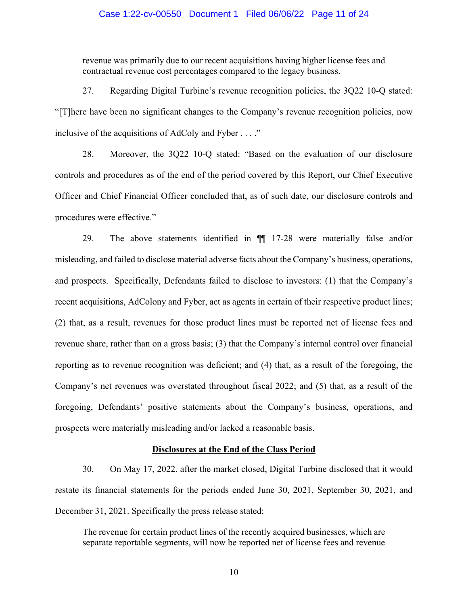#### Case 1:22-cv-00550 Document 1 Filed 06/06/22 Page 11 of 24

revenue was primarily due to our recent acquisitions having higher license fees and contractual revenue cost percentages compared to the legacy business.

27. Regarding Digital Turbine's revenue recognition policies, the 3Q22 10-Q stated: "[T]here have been no significant changes to the Company's revenue recognition policies, now inclusive of the acquisitions of AdColy and Fyber . . . ."

28. Moreover, the 3Q22 10-Q stated: "Based on the evaluation of our disclosure controls and procedures as of the end of the period covered by this Report, our Chief Executive Officer and Chief Financial Officer concluded that, as of such date, our disclosure controls and procedures were effective."

29. The above statements identified in ¶¶ 17-28 were materially false and/or misleading, and failed to disclose material adverse facts about the Company's business, operations, and prospects. Specifically, Defendants failed to disclose to investors: (1) that the Company's recent acquisitions, AdColony and Fyber, act as agents in certain of their respective product lines; (2) that, as a result, revenues for those product lines must be reported net of license fees and revenue share, rather than on a gross basis; (3) that the Company's internal control over financial reporting as to revenue recognition was deficient; and (4) that, as a result of the foregoing, the Company's net revenues was overstated throughout fiscal 2022; and (5) that, as a result of the foregoing, Defendants' positive statements about the Company's business, operations, and prospects were materially misleading and/or lacked a reasonable basis.

### **Disclosures at the End of the Class Period**

30. On May 17, 2022, after the market closed, Digital Turbine disclosed that it would restate its financial statements for the periods ended June 30, 2021, September 30, 2021, and December 31, 2021. Specifically the press release stated:

The revenue for certain product lines of the recently acquired businesses, which are separate reportable segments, will now be reported net of license fees and revenue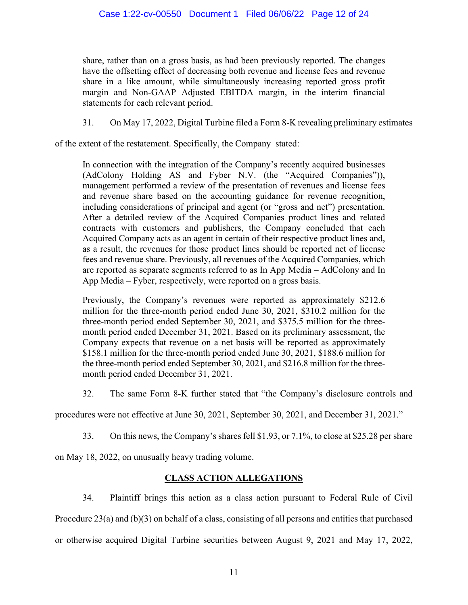share, rather than on a gross basis, as had been previously reported. The changes have the offsetting effect of decreasing both revenue and license fees and revenue share in a like amount, while simultaneously increasing reported gross profit margin and Non-GAAP Adjusted EBITDA margin, in the interim financial statements for each relevant period.

31. On May 17, 2022, Digital Turbine filed a Form 8-K revealing preliminary estimates

of the extent of the restatement. Specifically, the Company stated:

In connection with the integration of the Company's recently acquired businesses (AdColony Holding AS and Fyber N.V. (the "Acquired Companies")), management performed a review of the presentation of revenues and license fees and revenue share based on the accounting guidance for revenue recognition, including considerations of principal and agent (or "gross and net") presentation. After a detailed review of the Acquired Companies product lines and related contracts with customers and publishers, the Company concluded that each Acquired Company acts as an agent in certain of their respective product lines and, as a result, the revenues for those product lines should be reported net of license fees and revenue share. Previously, all revenues of the Acquired Companies, which are reported as separate segments referred to as In App Media – AdColony and In App Media – Fyber, respectively, were reported on a gross basis.

Previously, the Company's revenues were reported as approximately \$212.6 million for the three-month period ended June 30, 2021, \$310.2 million for the three-month period ended September 30, 2021, and \$375.5 million for the threemonth period ended December 31, 2021. Based on its preliminary assessment, the Company expects that revenue on a net basis will be reported as approximately \$158.1 million for the three-month period ended June 30, 2021, \$188.6 million for the three-month period ended September 30, 2021, and \$216.8 million for the threemonth period ended December 31, 2021.

32. The same Form 8-K further stated that "the Company's disclosure controls and

procedures were not effective at June 30, 2021, September 30, 2021, and December 31, 2021."

33. On this news, the Company's shares fell \$1.93, or 7.1%, to close at \$25.28 per share

on May 18, 2022, on unusually heavy trading volume.

# **CLASS ACTION ALLEGATIONS**

34. Plaintiff brings this action as a class action pursuant to Federal Rule of Civil Procedure 23(a) and (b)(3) on behalf of a class, consisting of all persons and entities that purchased or otherwise acquired Digital Turbine securities between August 9, 2021 and May 17, 2022,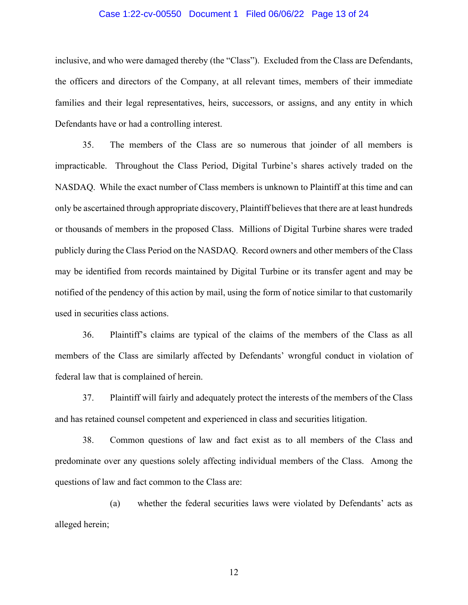#### Case 1:22-cv-00550 Document 1 Filed 06/06/22 Page 13 of 24

inclusive, and who were damaged thereby (the "Class"). Excluded from the Class are Defendants, the officers and directors of the Company, at all relevant times, members of their immediate families and their legal representatives, heirs, successors, or assigns, and any entity in which Defendants have or had a controlling interest.

35. The members of the Class are so numerous that joinder of all members is impracticable. Throughout the Class Period, Digital Turbine's shares actively traded on the NASDAQ. While the exact number of Class members is unknown to Plaintiff at this time and can only be ascertained through appropriate discovery, Plaintiff believesthat there are at least hundreds or thousands of members in the proposed Class. Millions of Digital Turbine shares were traded publicly during the Class Period on the NASDAQ. Record owners and other members of the Class may be identified from records maintained by Digital Turbine or its transfer agent and may be notified of the pendency of this action by mail, using the form of notice similar to that customarily used in securities class actions.

36. Plaintiff's claims are typical of the claims of the members of the Class as all members of the Class are similarly affected by Defendants' wrongful conduct in violation of federal law that is complained of herein.

37. Plaintiff will fairly and adequately protect the interests of the members of the Class and has retained counsel competent and experienced in class and securities litigation.

38. Common questions of law and fact exist as to all members of the Class and predominate over any questions solely affecting individual members of the Class. Among the questions of law and fact common to the Class are:

(a) whether the federal securities laws were violated by Defendants' acts as alleged herein;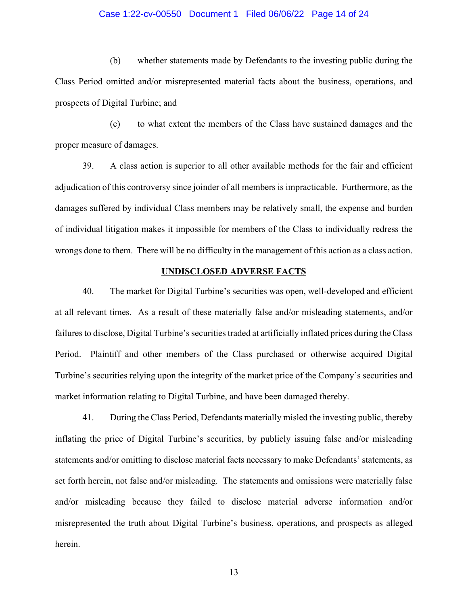#### Case 1:22-cv-00550 Document 1 Filed 06/06/22 Page 14 of 24

(b) whether statements made by Defendants to the investing public during the Class Period omitted and/or misrepresented material facts about the business, operations, and prospects of Digital Turbine; and

(c) to what extent the members of the Class have sustained damages and the proper measure of damages.

39. A class action is superior to all other available methods for the fair and efficient adjudication of this controversy since joinder of all members is impracticable. Furthermore, as the damages suffered by individual Class members may be relatively small, the expense and burden of individual litigation makes it impossible for members of the Class to individually redress the wrongs done to them. There will be no difficulty in the management of this action as a class action.

#### **UNDISCLOSED ADVERSE FACTS**

40. The market for Digital Turbine's securities was open, well-developed and efficient at all relevant times. As a result of these materially false and/or misleading statements, and/or failures to disclose, Digital Turbine's securities traded at artificially inflated prices during the Class Period. Plaintiff and other members of the Class purchased or otherwise acquired Digital Turbine's securities relying upon the integrity of the market price of the Company's securities and market information relating to Digital Turbine, and have been damaged thereby.

41. During the Class Period, Defendants materially misled the investing public, thereby inflating the price of Digital Turbine's securities, by publicly issuing false and/or misleading statements and/or omitting to disclose material facts necessary to make Defendants' statements, as set forth herein, not false and/or misleading. The statements and omissions were materially false and/or misleading because they failed to disclose material adverse information and/or misrepresented the truth about Digital Turbine's business, operations, and prospects as alleged herein.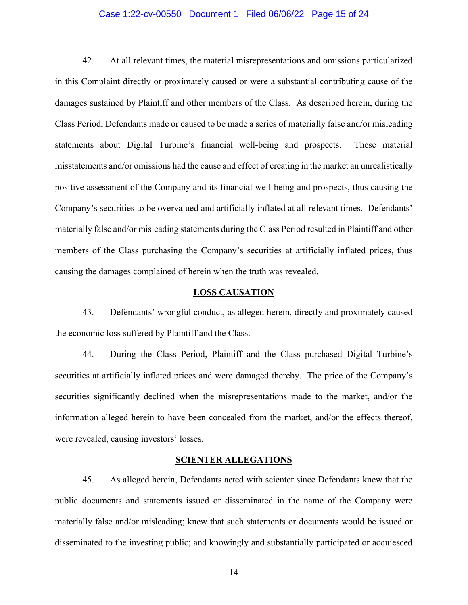#### Case 1:22-cv-00550 Document 1 Filed 06/06/22 Page 15 of 24

42. At all relevant times, the material misrepresentations and omissions particularized in this Complaint directly or proximately caused or were a substantial contributing cause of the damages sustained by Plaintiff and other members of the Class. As described herein, during the Class Period, Defendants made or caused to be made a series of materially false and/or misleading statements about Digital Turbine's financial well-being and prospects. These material misstatements and/or omissions had the cause and effect of creating in the market an unrealistically positive assessment of the Company and its financial well-being and prospects, thus causing the Company's securities to be overvalued and artificially inflated at all relevant times. Defendants' materially false and/or misleading statements during the Class Period resulted in Plaintiff and other members of the Class purchasing the Company's securities at artificially inflated prices, thus causing the damages complained of herein when the truth was revealed.

## **LOSS CAUSATION**

43. Defendants' wrongful conduct, as alleged herein, directly and proximately caused the economic loss suffered by Plaintiff and the Class.

44. During the Class Period, Plaintiff and the Class purchased Digital Turbine's securities at artificially inflated prices and were damaged thereby. The price of the Company's securities significantly declined when the misrepresentations made to the market, and/or the information alleged herein to have been concealed from the market, and/or the effects thereof, were revealed, causing investors' losses.

### **SCIENTER ALLEGATIONS**

45. As alleged herein, Defendants acted with scienter since Defendants knew that the public documents and statements issued or disseminated in the name of the Company were materially false and/or misleading; knew that such statements or documents would be issued or disseminated to the investing public; and knowingly and substantially participated or acquiesced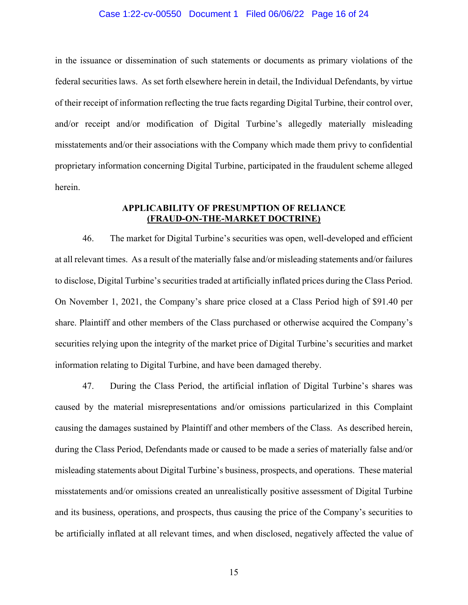#### Case 1:22-cv-00550 Document 1 Filed 06/06/22 Page 16 of 24

in the issuance or dissemination of such statements or documents as primary violations of the federal securities laws. As set forth elsewhere herein in detail, the Individual Defendants, by virtue of their receipt of information reflecting the true facts regarding Digital Turbine, their control over, and/or receipt and/or modification of Digital Turbine's allegedly materially misleading misstatements and/or their associations with the Company which made them privy to confidential proprietary information concerning Digital Turbine, participated in the fraudulent scheme alleged herein.

### **APPLICABILITY OF PRESUMPTION OF RELIANCE (FRAUD-ON-THE-MARKET DOCTRINE)**

46. The market for Digital Turbine's securities was open, well-developed and efficient at all relevant times. As a result of the materially false and/or misleading statements and/or failures to disclose, Digital Turbine's securities traded at artificially inflated prices during the Class Period. On November 1, 2021, the Company's share price closed at a Class Period high of \$91.40 per share. Plaintiff and other members of the Class purchased or otherwise acquired the Company's securities relying upon the integrity of the market price of Digital Turbine's securities and market information relating to Digital Turbine, and have been damaged thereby.

47. During the Class Period, the artificial inflation of Digital Turbine's shares was caused by the material misrepresentations and/or omissions particularized in this Complaint causing the damages sustained by Plaintiff and other members of the Class. As described herein, during the Class Period, Defendants made or caused to be made a series of materially false and/or misleading statements about Digital Turbine's business, prospects, and operations. These material misstatements and/or omissions created an unrealistically positive assessment of Digital Turbine and its business, operations, and prospects, thus causing the price of the Company's securities to be artificially inflated at all relevant times, and when disclosed, negatively affected the value of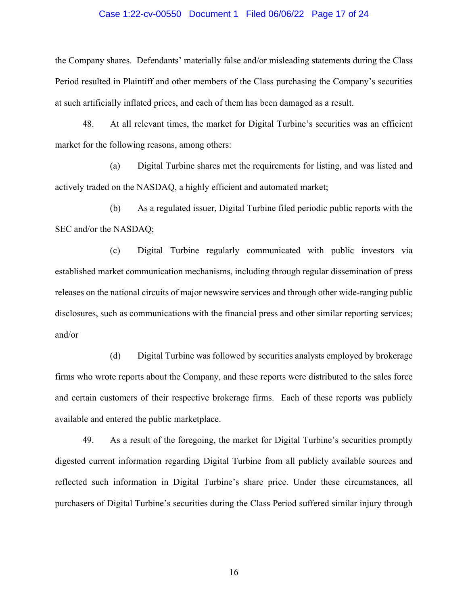#### Case 1:22-cv-00550 Document 1 Filed 06/06/22 Page 17 of 24

the Company shares. Defendants' materially false and/or misleading statements during the Class Period resulted in Plaintiff and other members of the Class purchasing the Company's securities at such artificially inflated prices, and each of them has been damaged as a result.

48. At all relevant times, the market for Digital Turbine's securities was an efficient market for the following reasons, among others:

(a) Digital Turbine shares met the requirements for listing, and was listed and actively traded on the NASDAQ, a highly efficient and automated market;

(b) As a regulated issuer, Digital Turbine filed periodic public reports with the SEC and/or the NASDAQ;

(c) Digital Turbine regularly communicated with public investors via established market communication mechanisms, including through regular dissemination of press releases on the national circuits of major newswire services and through other wide-ranging public disclosures, such as communications with the financial press and other similar reporting services; and/or

(d) Digital Turbine was followed by securities analysts employed by brokerage firms who wrote reports about the Company, and these reports were distributed to the sales force and certain customers of their respective brokerage firms. Each of these reports was publicly available and entered the public marketplace.

49. As a result of the foregoing, the market for Digital Turbine's securities promptly digested current information regarding Digital Turbine from all publicly available sources and reflected such information in Digital Turbine's share price. Under these circumstances, all purchasers of Digital Turbine's securities during the Class Period suffered similar injury through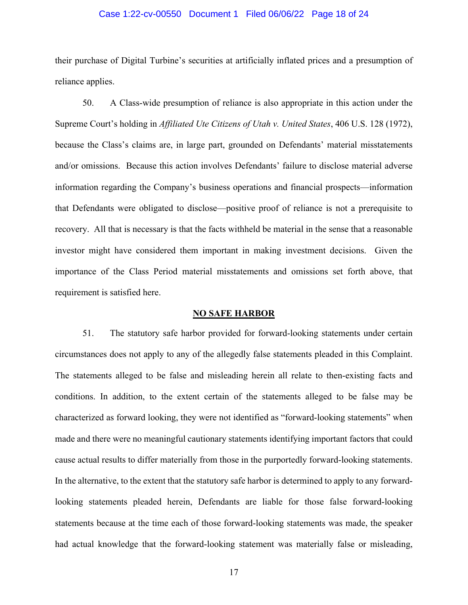#### Case 1:22-cv-00550 Document 1 Filed 06/06/22 Page 18 of 24

their purchase of Digital Turbine's securities at artificially inflated prices and a presumption of reliance applies.

50. A Class-wide presumption of reliance is also appropriate in this action under the Supreme Court's holding in *Affiliated Ute Citizens of Utah v. United States*, 406 U.S. 128 (1972), because the Class's claims are, in large part, grounded on Defendants' material misstatements and/or omissions. Because this action involves Defendants' failure to disclose material adverse information regarding the Company's business operations and financial prospects—information that Defendants were obligated to disclose—positive proof of reliance is not a prerequisite to recovery. All that is necessary is that the facts withheld be material in the sense that a reasonable investor might have considered them important in making investment decisions. Given the importance of the Class Period material misstatements and omissions set forth above, that requirement is satisfied here.

#### **NO SAFE HARBOR**

51. The statutory safe harbor provided for forward-looking statements under certain circumstances does not apply to any of the allegedly false statements pleaded in this Complaint. The statements alleged to be false and misleading herein all relate to then-existing facts and conditions. In addition, to the extent certain of the statements alleged to be false may be characterized as forward looking, they were not identified as "forward-looking statements" when made and there were no meaningful cautionary statements identifying important factors that could cause actual results to differ materially from those in the purportedly forward-looking statements. In the alternative, to the extent that the statutory safe harbor is determined to apply to any forwardlooking statements pleaded herein, Defendants are liable for those false forward-looking statements because at the time each of those forward-looking statements was made, the speaker had actual knowledge that the forward-looking statement was materially false or misleading,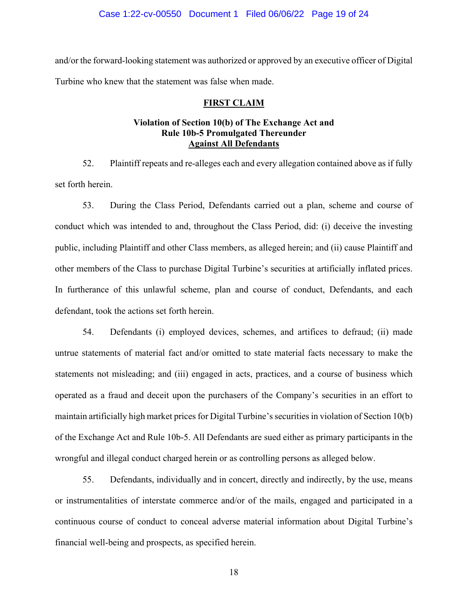and/or the forward-looking statement was authorized or approved by an executive officer of Digital Turbine who knew that the statement was false when made.

## **FIRST CLAIM**

# **Violation of Section 10(b) of The Exchange Act and Rule 10b-5 Promulgated Thereunder Against All Defendants**

52. Plaintiff repeats and re-alleges each and every allegation contained above as if fully set forth herein.

53. During the Class Period, Defendants carried out a plan, scheme and course of conduct which was intended to and, throughout the Class Period, did: (i) deceive the investing public, including Plaintiff and other Class members, as alleged herein; and (ii) cause Plaintiff and other members of the Class to purchase Digital Turbine's securities at artificially inflated prices. In furtherance of this unlawful scheme, plan and course of conduct, Defendants, and each defendant, took the actions set forth herein.

54. Defendants (i) employed devices, schemes, and artifices to defraud; (ii) made untrue statements of material fact and/or omitted to state material facts necessary to make the statements not misleading; and (iii) engaged in acts, practices, and a course of business which operated as a fraud and deceit upon the purchasers of the Company's securities in an effort to maintain artificially high market prices for Digital Turbine's securities in violation of Section 10(b) of the Exchange Act and Rule 10b-5. All Defendants are sued either as primary participants in the wrongful and illegal conduct charged herein or as controlling persons as alleged below.

55. Defendants, individually and in concert, directly and indirectly, by the use, means or instrumentalities of interstate commerce and/or of the mails, engaged and participated in a continuous course of conduct to conceal adverse material information about Digital Turbine's financial well-being and prospects, as specified herein.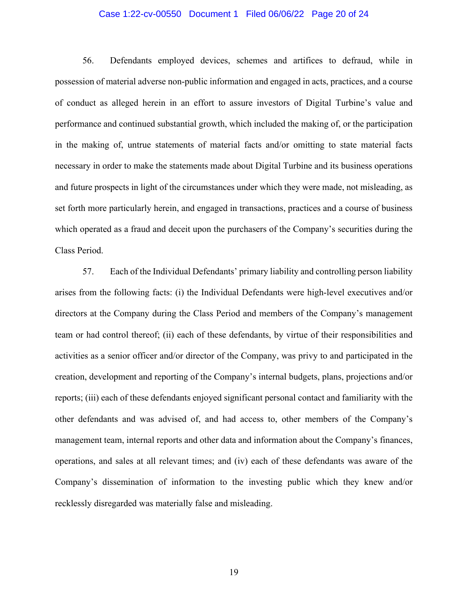#### Case 1:22-cv-00550 Document 1 Filed 06/06/22 Page 20 of 24

56. Defendants employed devices, schemes and artifices to defraud, while in possession of material adverse non-public information and engaged in acts, practices, and a course of conduct as alleged herein in an effort to assure investors of Digital Turbine's value and performance and continued substantial growth, which included the making of, or the participation in the making of, untrue statements of material facts and/or omitting to state material facts necessary in order to make the statements made about Digital Turbine and its business operations and future prospects in light of the circumstances under which they were made, not misleading, as set forth more particularly herein, and engaged in transactions, practices and a course of business which operated as a fraud and deceit upon the purchasers of the Company's securities during the Class Period.

57. Each of the Individual Defendants' primary liability and controlling person liability arises from the following facts: (i) the Individual Defendants were high-level executives and/or directors at the Company during the Class Period and members of the Company's management team or had control thereof; (ii) each of these defendants, by virtue of their responsibilities and activities as a senior officer and/or director of the Company, was privy to and participated in the creation, development and reporting of the Company's internal budgets, plans, projections and/or reports; (iii) each of these defendants enjoyed significant personal contact and familiarity with the other defendants and was advised of, and had access to, other members of the Company's management team, internal reports and other data and information about the Company's finances, operations, and sales at all relevant times; and (iv) each of these defendants was aware of the Company's dissemination of information to the investing public which they knew and/or recklessly disregarded was materially false and misleading.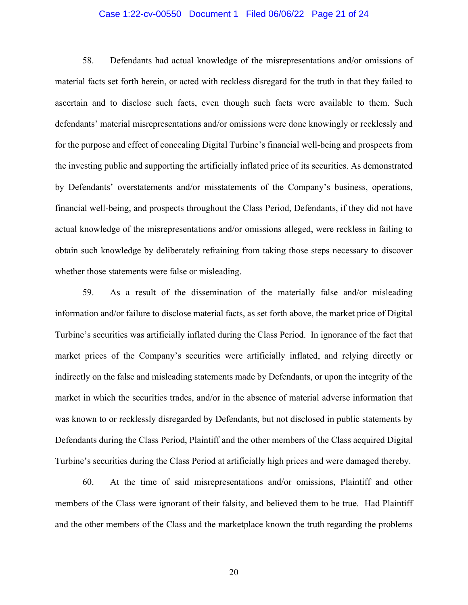#### Case 1:22-cv-00550 Document 1 Filed 06/06/22 Page 21 of 24

58. Defendants had actual knowledge of the misrepresentations and/or omissions of material facts set forth herein, or acted with reckless disregard for the truth in that they failed to ascertain and to disclose such facts, even though such facts were available to them. Such defendants' material misrepresentations and/or omissions were done knowingly or recklessly and for the purpose and effect of concealing Digital Turbine's financial well-being and prospects from the investing public and supporting the artificially inflated price of its securities. As demonstrated by Defendants' overstatements and/or misstatements of the Company's business, operations, financial well-being, and prospects throughout the Class Period, Defendants, if they did not have actual knowledge of the misrepresentations and/or omissions alleged, were reckless in failing to obtain such knowledge by deliberately refraining from taking those steps necessary to discover whether those statements were false or misleading.

59. As a result of the dissemination of the materially false and/or misleading information and/or failure to disclose material facts, as set forth above, the market price of Digital Turbine's securities was artificially inflated during the Class Period. In ignorance of the fact that market prices of the Company's securities were artificially inflated, and relying directly or indirectly on the false and misleading statements made by Defendants, or upon the integrity of the market in which the securities trades, and/or in the absence of material adverse information that was known to or recklessly disregarded by Defendants, but not disclosed in public statements by Defendants during the Class Period, Plaintiff and the other members of the Class acquired Digital Turbine's securities during the Class Period at artificially high prices and were damaged thereby.

60. At the time of said misrepresentations and/or omissions, Plaintiff and other members of the Class were ignorant of their falsity, and believed them to be true. Had Plaintiff and the other members of the Class and the marketplace known the truth regarding the problems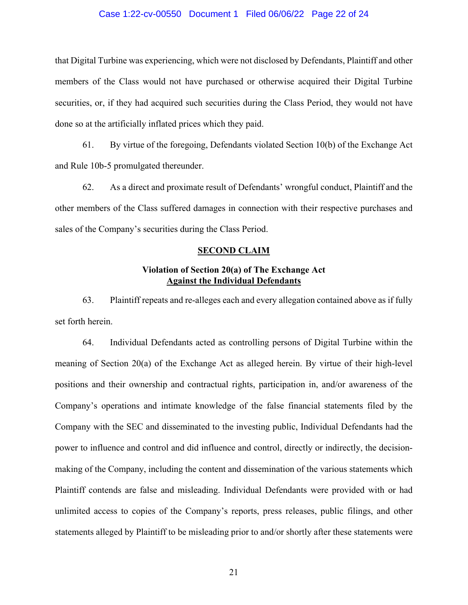#### Case 1:22-cv-00550 Document 1 Filed 06/06/22 Page 22 of 24

that Digital Turbine was experiencing, which were not disclosed by Defendants, Plaintiff and other members of the Class would not have purchased or otherwise acquired their Digital Turbine securities, or, if they had acquired such securities during the Class Period, they would not have done so at the artificially inflated prices which they paid.

61. By virtue of the foregoing, Defendants violated Section 10(b) of the Exchange Act and Rule 10b-5 promulgated thereunder.

62. As a direct and proximate result of Defendants' wrongful conduct, Plaintiff and the other members of the Class suffered damages in connection with their respective purchases and sales of the Company's securities during the Class Period.

#### **SECOND CLAIM**

## **Violation of Section 20(a) of The Exchange Act Against the Individual Defendants**

63. Plaintiff repeats and re-alleges each and every allegation contained above as if fully set forth herein.

64. Individual Defendants acted as controlling persons of Digital Turbine within the meaning of Section 20(a) of the Exchange Act as alleged herein. By virtue of their high-level positions and their ownership and contractual rights, participation in, and/or awareness of the Company's operations and intimate knowledge of the false financial statements filed by the Company with the SEC and disseminated to the investing public, Individual Defendants had the power to influence and control and did influence and control, directly or indirectly, the decisionmaking of the Company, including the content and dissemination of the various statements which Plaintiff contends are false and misleading. Individual Defendants were provided with or had unlimited access to copies of the Company's reports, press releases, public filings, and other statements alleged by Plaintiff to be misleading prior to and/or shortly after these statements were